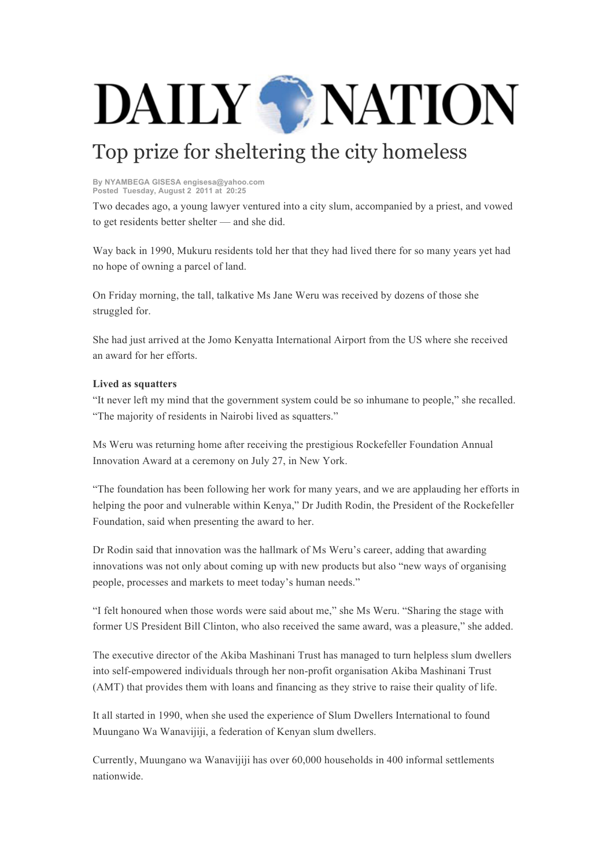## DAILY WATION

## Top prize for sheltering the city homeless

**By NYAMBEGA GISESA engisesa@yahoo.com Posted Tuesday, August 2 2011 at 20:25**

Two decades ago, a young lawyer ventured into a city slum, accompanied by a priest, and vowed to get residents better shelter — and she did.

Way back in 1990, Mukuru residents told her that they had lived there for so many years yet had no hope of owning a parcel of land.

On Friday morning, the tall, talkative Ms Jane Weru was received by dozens of those she struggled for.

She had just arrived at the Jomo Kenyatta International Airport from the US where she received an award for her efforts.

## **Lived as squatters**

"It never left my mind that the government system could be so inhumane to people," she recalled. "The majority of residents in Nairobi lived as squatters."

Ms Weru was returning home after receiving the prestigious Rockefeller Foundation Annual Innovation Award at a ceremony on July 27, in New York.

"The foundation has been following her work for many years, and we are applauding her efforts in helping the poor and vulnerable within Kenya," Dr Judith Rodin, the President of the Rockefeller Foundation, said when presenting the award to her.

Dr Rodin said that innovation was the hallmark of Ms Weru's career, adding that awarding innovations was not only about coming up with new products but also "new ways of organising people, processes and markets to meet today's human needs."

"I felt honoured when those words were said about me," she Ms Weru. "Sharing the stage with former US President Bill Clinton, who also received the same award, was a pleasure," she added.

The executive director of the Akiba Mashinani Trust has managed to turn helpless slum dwellers into self-empowered individuals through her non-profit organisation Akiba Mashinani Trust (AMT) that provides them with loans and financing as they strive to raise their quality of life.

It all started in 1990, when she used the experience of Slum Dwellers International to found Muungano Wa Wanavijiji, a federation of Kenyan slum dwellers.

Currently, Muungano wa Wanavijiji has over 60,000 households in 400 informal settlements nationwide.